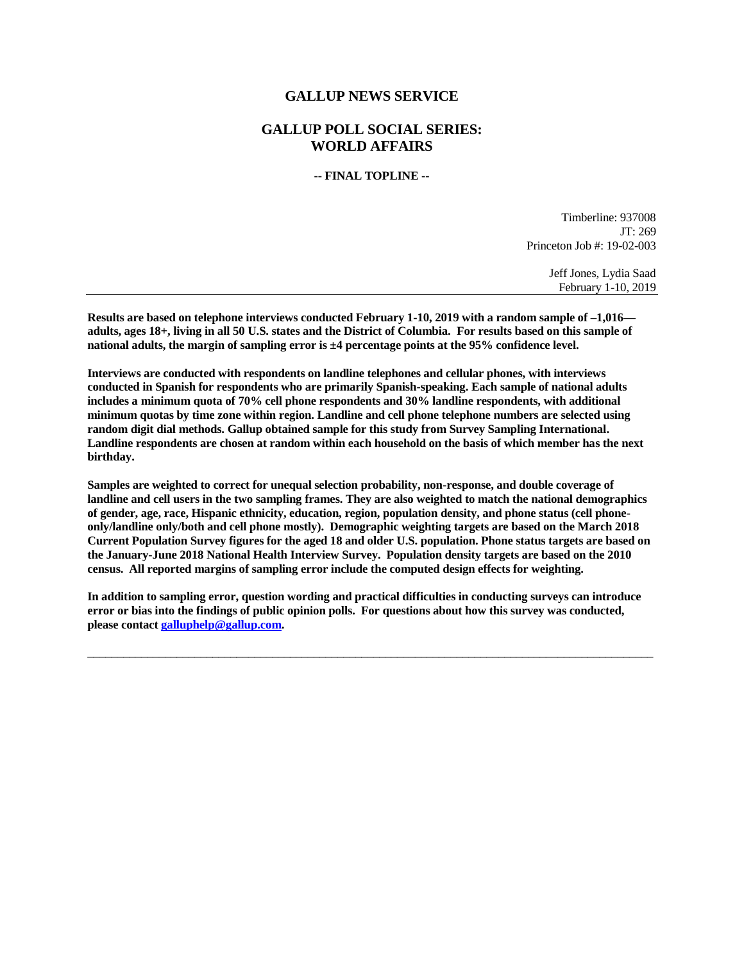## **GALLUP NEWS SERVICE**

# **GALLUP POLL SOCIAL SERIES: WORLD AFFAIRS**

**-- FINAL TOPLINE --**

Timberline: 937008 JT: 269 Princeton Job #: 19-02-003

> Jeff Jones, Lydia Saad February 1-10, 2019

**Results are based on telephone interviews conducted February 1-10, 2019 with a random sample of –1,016 adults, ages 18+, living in all 50 U.S. states and the District of Columbia. For results based on this sample of national adults, the margin of sampling error is ±4 percentage points at the 95% confidence level.** 

**Interviews are conducted with respondents on landline telephones and cellular phones, with interviews conducted in Spanish for respondents who are primarily Spanish-speaking. Each sample of national adults includes a minimum quota of 70% cell phone respondents and 30% landline respondents, with additional minimum quotas by time zone within region. Landline and cell phone telephone numbers are selected using random digit dial methods. Gallup obtained sample for this study from Survey Sampling International. Landline respondents are chosen at random within each household on the basis of which member has the next birthday.**

**Samples are weighted to correct for unequal selection probability, non-response, and double coverage of landline and cell users in the two sampling frames. They are also weighted to match the national demographics of gender, age, race, Hispanic ethnicity, education, region, population density, and phone status (cell phoneonly/landline only/both and cell phone mostly). Demographic weighting targets are based on the March 2018 Current Population Survey figures for the aged 18 and older U.S. population. Phone status targets are based on the January-June 2018 National Health Interview Survey. Population density targets are based on the 2010 census. All reported margins of sampling error include the computed design effects for weighting.** 

**In addition to sampling error, question wording and practical difficulties in conducting surveys can introduce error or bias into the findings of public opinion polls. For questions about how this survey was conducted, please contac[t galluphelp@gallup.com.](mailto:galluphelp@gallup.com)**

 $\overline{\phantom{a}}$  ,  $\overline{\phantom{a}}$  ,  $\overline{\phantom{a}}$  ,  $\overline{\phantom{a}}$  ,  $\overline{\phantom{a}}$  ,  $\overline{\phantom{a}}$  ,  $\overline{\phantom{a}}$  ,  $\overline{\phantom{a}}$  ,  $\overline{\phantom{a}}$  ,  $\overline{\phantom{a}}$  ,  $\overline{\phantom{a}}$  ,  $\overline{\phantom{a}}$  ,  $\overline{\phantom{a}}$  ,  $\overline{\phantom{a}}$  ,  $\overline{\phantom{a}}$  ,  $\overline{\phantom{a}}$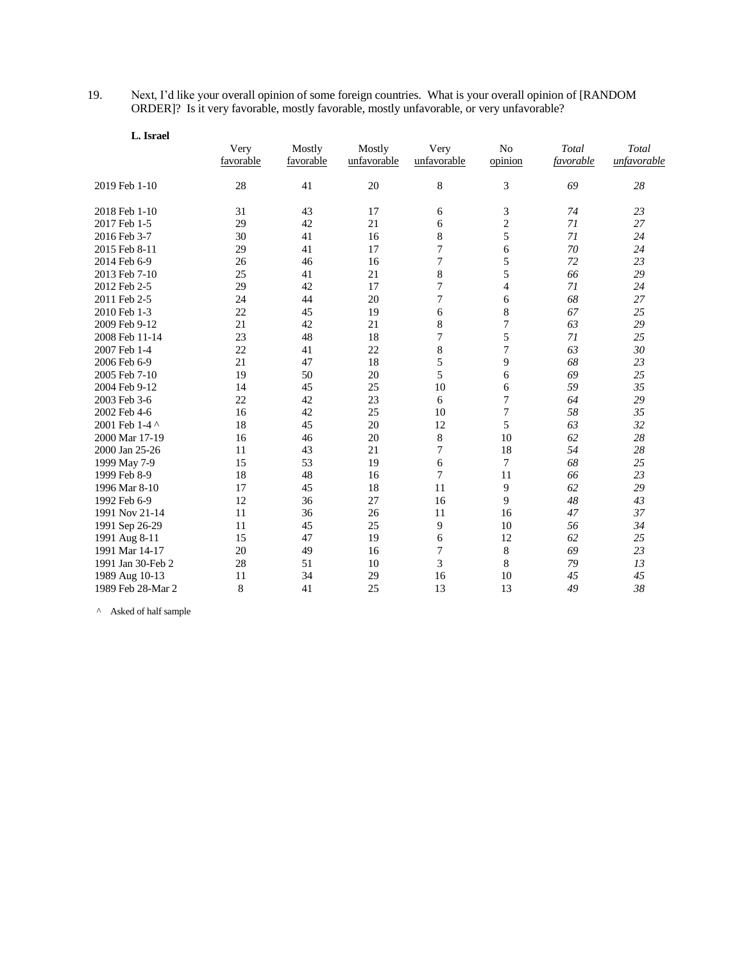19. Next, I'd like your overall opinion of some foreign countries. What is your overall opinion of [RANDOM ORDER]? Is it very favorable, mostly favorable, mostly unfavorable, or very unfavorable?

| L. Israel         |                   |                     |                       |                     |                           |                    |                      |
|-------------------|-------------------|---------------------|-----------------------|---------------------|---------------------------|--------------------|----------------------|
|                   | Very<br>favorable | Mostly<br>favorable | Mostly<br>unfavorable | Very<br>unfavorable | N <sub>o</sub><br>opinion | Total<br>favorable | Total<br>unfavorable |
| 2019 Feb 1-10     | 28                | 41                  | 20                    | 8                   | 3                         | 69                 | 28                   |
| 2018 Feb 1-10     | 31                | 43                  | 17                    | 6                   | 3                         | 74                 | 23                   |
| 2017 Feb 1-5      | 29                | 42                  | 21                    | 6                   | $\overline{c}$            | 71                 | 27                   |
| 2016 Feb 3-7      | 30                | 41                  | 16                    | 8                   | 5                         | 71                 | 24                   |
| 2015 Feb 8-11     | 29                | 41                  | 17                    | 7                   | 6                         | 70                 | 24                   |
| 2014 Feb 6-9      | 26                | 46                  | 16                    | 7                   | 5                         | 72                 | 23                   |
| 2013 Feb 7-10     | 25                | 41                  | 21                    | 8                   | 5                         | 66                 | 29                   |
| 2012 Feb 2-5      | 29                | 42                  | 17                    | 7                   | $\overline{4}$            | 71                 | 24                   |
| 2011 Feb 2-5      | 24                | 44                  | 20                    | 7                   | 6                         | 68                 | 27                   |
| 2010 Feb 1-3      | 22                | 45                  | 19                    | 6                   | 8                         | 67                 | 25                   |
| 2009 Feb 9-12     | 21                | 42                  | 21                    | 8                   | 7                         | 63                 | 29                   |
| 2008 Feb 11-14    | 23                | 48                  | 18                    | 7                   | 5                         | 71                 | 25                   |
| 2007 Feb 1-4      | 22                | 41                  | 22                    | 8                   | 7                         | 63                 | 30                   |
| 2006 Feb 6-9      | 21                | 47                  | 18                    | 5                   | 9                         | 68                 | 23                   |
| 2005 Feb 7-10     | 19                | 50                  | 20                    | 5                   | 6                         | 69                 | 25                   |
| 2004 Feb 9-12     | 14                | 45                  | 25                    | 10                  | 6                         | 59                 | 35                   |
| 2003 Feb 3-6      | 22                | 42                  | 23                    | 6                   | $\sqrt{ }$                | 64                 | 29                   |
| 2002 Feb 4-6      | 16                | 42                  | 25                    | 10                  | $\sqrt{ }$                | 58                 | 35                   |
| 2001 Feb 1-4 ^    | 18                | 45                  | 20                    | 12                  | 5                         | 63                 | 32                   |
| 2000 Mar 17-19    | 16                | 46                  | 20                    | $\,$ 8 $\,$         | 10                        | 62                 | 28                   |
| 2000 Jan 25-26    | 11                | 43                  | 21                    | 7                   | 18                        | 54                 | 28                   |
| 1999 May 7-9      | 15                | 53                  | 19                    | 6                   | 7                         | 68                 | 25                   |
| 1999 Feb 8-9      | 18                | 48                  | 16                    | 7                   | 11                        | 66                 | 23                   |
| 1996 Mar 8-10     | 17                | 45                  | 18                    | 11                  | 9                         | 62                 | 29                   |
| 1992 Feb 6-9      | 12                | 36                  | 27                    | 16                  | 9                         | 48                 | 43                   |
| 1991 Nov 21-14    | 11                | 36                  | 26                    | 11                  | 16                        | 47                 | 37                   |
| 1991 Sep 26-29    | 11                | 45                  | 25                    | 9                   | 10                        | 56                 | 34                   |
| 1991 Aug 8-11     | 15                | 47                  | 19                    | 6                   | 12                        | 62                 | 25                   |
| 1991 Mar 14-17    | 20                | 49                  | 16                    | $\boldsymbol{7}$    | $\,8\,$                   | 69                 | 23                   |
| 1991 Jan 30-Feb 2 | 28                | 51                  | 10                    | 3                   | 8                         | 79                 | 13                   |
| 1989 Aug 10-13    | 11                | 34                  | 29                    | 16                  | 10                        | 45                 | 45                   |
| 1989 Feb 28-Mar 2 | 8                 | 41                  | 25                    | 13                  | 13                        | 49                 | 38                   |

 $\wedge$  Asked of half sample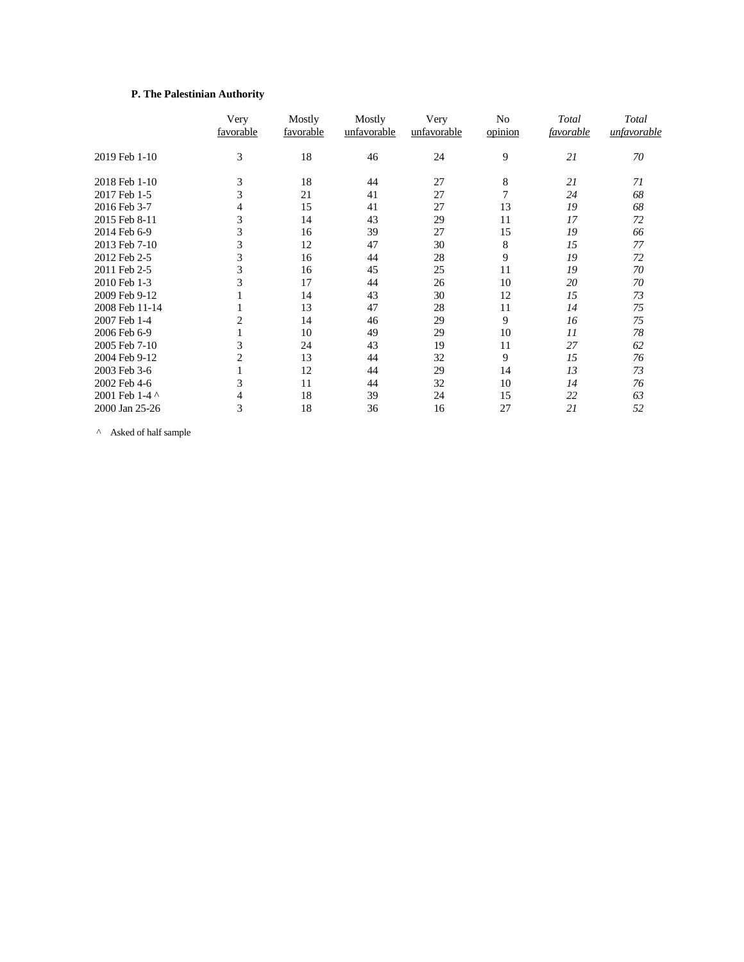## **P. The Palestinian Authority**

|                | Very<br>favorable | Mostly<br>favorable | Mostly<br>unfavorable | Very<br>unfavorable | No<br>opinion | Total<br>favorable | Total<br>unfavorable |
|----------------|-------------------|---------------------|-----------------------|---------------------|---------------|--------------------|----------------------|
| 2019 Feb 1-10  | 3                 | 18                  | 46                    | 24                  | 9             | 21                 | 70                   |
| 2018 Feb 1-10  | 3                 | 18                  | 44                    | 27                  | 8             | 21                 | 71                   |
| 2017 Feb 1-5   | 3                 | 21                  | 41                    | 27                  | 7             | 24                 | 68                   |
| 2016 Feb 3-7   | 4                 | 15                  | 41                    | 27                  | 13            | 19                 | 68                   |
| 2015 Feb 8-11  | 3                 | 14                  | 43                    | 29                  | 11            | 17                 | 72                   |
| 2014 Feb 6-9   | 3                 | 16                  | 39                    | 27                  | 15            | 19                 | 66                   |
| 2013 Feb 7-10  | 3                 | 12                  | 47                    | 30                  | 8             | 15                 | 77                   |
| 2012 Feb 2-5   | 3                 | 16                  | 44                    | 28                  | 9             | 19                 | 72                   |
| 2011 Feb 2-5   | 3                 | 16                  | 45                    | 25                  | 11            | 19                 | 70                   |
| 2010 Feb 1-3   | 3                 | 17                  | 44                    | 26                  | 10            | 20                 | 70                   |
| 2009 Feb 9-12  |                   | 14                  | 43                    | 30                  | 12            | 15                 | 73                   |
| 2008 Feb 11-14 |                   | 13                  | 47                    | 28                  | 11            | 14                 | 75                   |
| 2007 Feb 1-4   | $\overline{c}$    | 14                  | 46                    | 29                  | 9             | 16                 | 75                   |
| 2006 Feb 6-9   |                   | 10                  | 49                    | 29                  | 10            | 11                 | 78                   |
| 2005 Feb 7-10  | 3                 | 24                  | 43                    | 19                  | 11            | 27                 | 62                   |
| 2004 Feb 9-12  | $\overline{2}$    | 13                  | 44                    | 32                  | 9             | 15                 | 76                   |
| 2003 Feb 3-6   |                   | 12                  | 44                    | 29                  | 14            | 13                 | 73                   |
| 2002 Feb 4-6   | 3                 | 11                  | 44                    | 32                  | 10            | 14                 | 76                   |
| 2001 Feb 1-4 ^ | 4                 | 18                  | 39                    | 24                  | 15            | 22                 | 63                   |
| 2000 Jan 25-26 | 3                 | 18                  | 36                    | 16                  | 27            | 21                 | 52                   |

^ Asked of half sample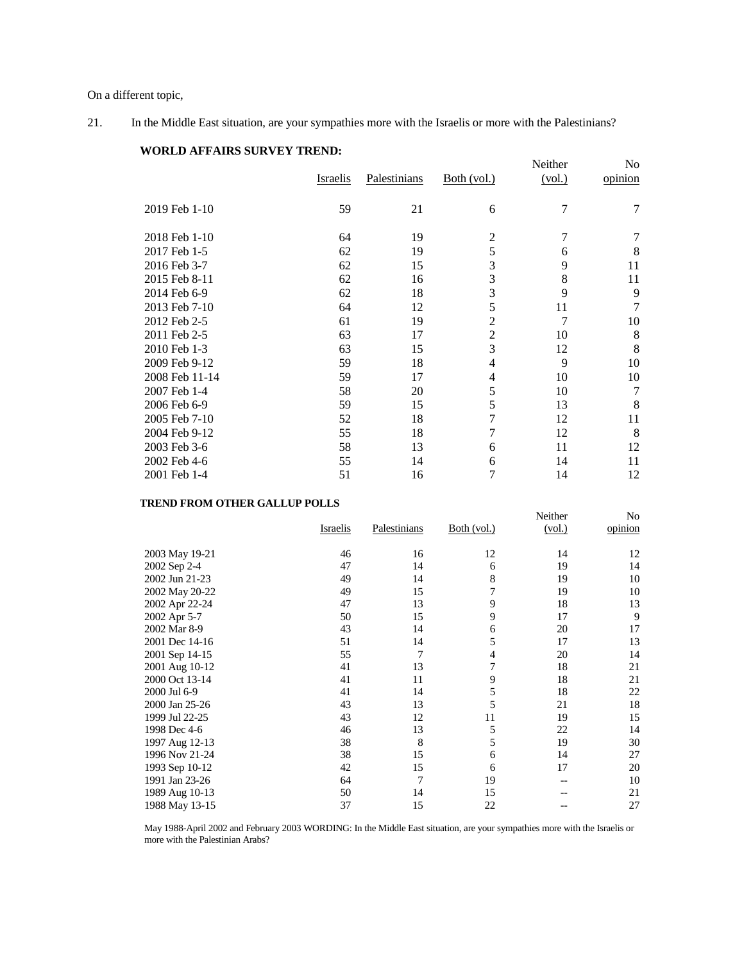On a different topic,

21. In the Middle East situation, are your sympathies more with the Israelis or more with the Palestinians?

# **WORLD AFFAIRS SURVEY TREND:**

|                |                 |              |                | Neither | No      |
|----------------|-----------------|--------------|----------------|---------|---------|
|                | <b>Israelis</b> | Palestinians | Both (vol.)    | (vol.)  | opinion |
|                |                 |              |                |         |         |
| 2019 Feb 1-10  | 59              | 21           | 6              | 7       | 7       |
|                |                 |              |                |         |         |
| 2018 Feb 1-10  | 64              | 19           | 2              | 7       | 7       |
| 2017 Feb 1-5   | 62              | 19           | 5              | 6       | 8       |
| 2016 Feb 3-7   | 62              | 15           | 3              | 9       | 11      |
| 2015 Feb 8-11  | 62              | 16           | 3              | 8       | 11      |
| 2014 Feb 6-9   | 62              | 18           | 3              | 9       | 9       |
| 2013 Feb 7-10  | 64              | 12           | 5              | 11      | 7       |
| 2012 Feb 2-5   | 61              | 19           | $\overline{c}$ | 7       | 10      |
| 2011 Feb 2-5   | 63              | 17           | $\overline{2}$ | 10      | 8       |
| 2010 Feb 1-3   | 63              | 15           | 3              | 12      | 8       |
| 2009 Feb 9-12  | 59              | 18           | $\overline{4}$ | 9       | 10      |
| 2008 Feb 11-14 | 59              | 17           | 4              | 10      | 10      |
| 2007 Feb 1-4   | 58              | 20           | 5              | 10      | 7       |
| 2006 Feb 6-9   | 59              | 15           | 5              | 13      | 8       |
| 2005 Feb 7-10  | 52              | 18           | $\overline{7}$ | 12      | 11      |
| 2004 Feb 9-12  | 55              | 18           | 7              | 12      | 8       |
| 2003 Feb 3-6   | 58              | 13           | 6              | 11      | 12      |
| 2002 Feb 4-6   | 55              | 14           | 6              | 14      | 11      |
| 2001 Feb 1-4   | 51              | 16           | 7              | 14      | 12      |

### **TREND FROM OTHER GALLUP POLLS**

|                | Israelis | Palestinians | Both (vol.) | Neither<br>(vol.) | No<br>opinion |
|----------------|----------|--------------|-------------|-------------------|---------------|
| 2003 May 19-21 | 46       | 16           | 12          | 14                | 12            |
| 2002 Sep 2-4   | 47       | 14           | 6           | 19                | 14            |
| 2002 Jun 21-23 | 49       | 14           | 8           | 19                | 10            |
| 2002 May 20-22 | 49       | 15           | 7           | 19                | 10            |
| 2002 Apr 22-24 | 47       | 13           | 9           | 18                | 13            |
| 2002 Apr 5-7   | 50       | 15           | 9           | 17                | 9             |
| 2002 Mar 8-9   | 43       | 14           | 6           | 20                | 17            |
| 2001 Dec 14-16 | 51       | 14           | 5           | 17                | 13            |
| 2001 Sep 14-15 | 55       | 7            | 4           | 20                | 14            |
| 2001 Aug 10-12 | 41       | 13           | 7           | 18                | 21            |
| 2000 Oct 13-14 | 41       | 11           | 9           | 18                | 21            |
| 2000 Jul 6-9   | 41       | 14           | 5           | 18                | 22            |
| 2000 Jan 25-26 | 43       | 13           | 5           | 21                | 18            |
| 1999 Jul 22-25 | 43       | 12           | 11          | 19                | 15            |
| 1998 Dec 4-6   | 46       | 13           | 5           | 22                | 14            |
| 1997 Aug 12-13 | 38       | 8            | 5           | 19                | 30            |
| 1996 Nov 21-24 | 38       | 15           | 6           | 14                | 27            |
| 1993 Sep 10-12 | 42       | 15           | 6           | 17                | 20            |
| 1991 Jan 23-26 | 64       | 7            | 19          |                   | 10            |
| 1989 Aug 10-13 | 50       | 14           | 15          |                   | 21            |
| 1988 May 13-15 | 37       | 15           | 22          |                   | 27            |

May 1988-April 2002 and February 2003 WORDING: In the Middle East situation, are your sympathies more with the Israelis or more with the Palestinian Arabs?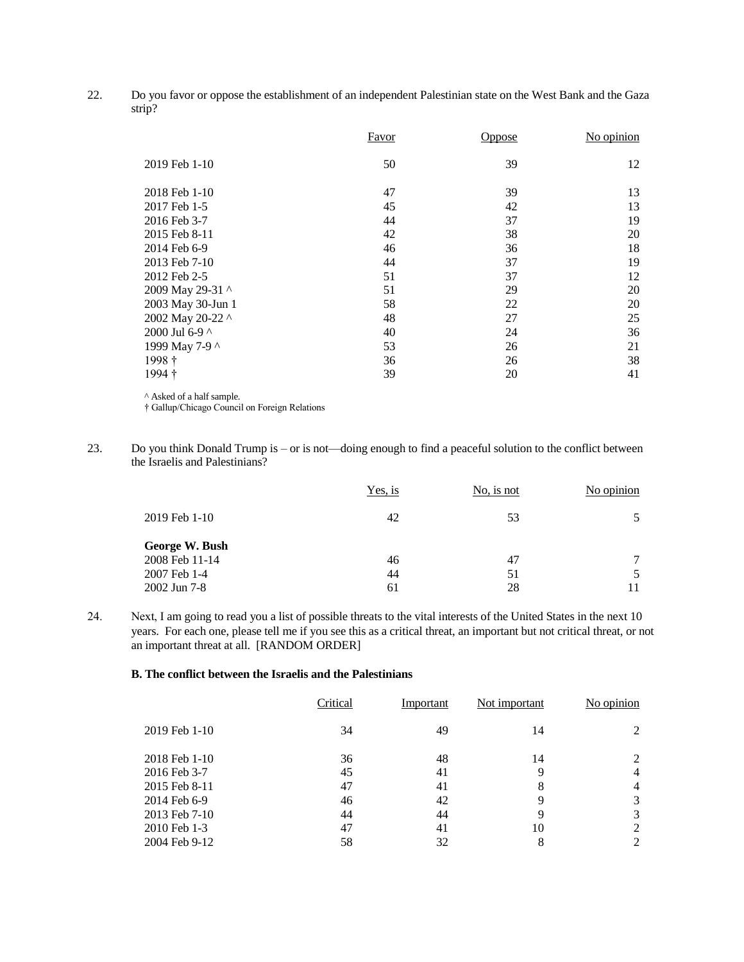22. Do you favor or oppose the establishment of an independent Palestinian state on the West Bank and the Gaza strip?

|                   | <b>Favor</b> | Oppose | No opinion |
|-------------------|--------------|--------|------------|
| 2019 Feb 1-10     | 50           | 39     | 12         |
| 2018 Feb 1-10     | 47           | 39     | 13         |
| 2017 Feb 1-5      | 45           | 42     | 13         |
| 2016 Feb 3-7      | 44           | 37     | 19         |
| 2015 Feb 8-11     | 42           | 38     | 20         |
| 2014 Feb 6-9      | 46           | 36     | 18         |
| 2013 Feb 7-10     | 44           | 37     | 19         |
| 2012 Feb 2-5      | 51           | 37     | 12         |
| 2009 May 29-31 ^  | 51           | 29     | 20         |
| 2003 May 30-Jun 1 | 58           | 22     | 20         |
| 2002 May 20-22 ^  | 48           | 27     | 25         |
| 2000 Jul 6-9 ^    | 40           | 24     | 36         |
| 1999 May 7-9 ^    | 53           | 26     | 21         |
| 1998 †            | 36           | 26     | 38         |
| 1994 †            | 39           | 20     | 41         |

^ Asked of a half sample.

† Gallup/Chicago Council on Foreign Relations

23. Do you think Donald Trump is – or is not—doing enough to find a peaceful solution to the conflict between the Israelis and Palestinians?

|                | Yes, is | No, is not | No opinion |
|----------------|---------|------------|------------|
| 2019 Feb 1-10  | 42      | 53         |            |
| George W. Bush |         |            |            |
| 2008 Feb 11-14 | 46      | 47         | ⇁          |
| 2007 Feb 1-4   | 44      | 51         |            |
| 2002 Jun 7-8   | 61      | 28         |            |

24. Next, I am going to read you a list of possible threats to the vital interests of the United States in the next 10 years. For each one, please tell me if you see this as a critical threat, an important but not critical threat, or not an important threat at all. [RANDOM ORDER]

### **B. The conflict between the Israelis and the Palestinians**

|               | Critical | Important | Not important | No opinion     |
|---------------|----------|-----------|---------------|----------------|
| 2019 Feb 1-10 | 34       | 49        | 14            |                |
| 2018 Feb 1-10 | 36       | 48        | 14            | 2              |
| 2016 Feb 3-7  | 45       | 41        | 9             | $\overline{4}$ |
| 2015 Feb 8-11 | 47       | 41        | 8             | $\overline{4}$ |
| 2014 Feb 6-9  | 46       | 42        | 9             | 3              |
| 2013 Feb 7-10 | 44       | 44        | 9             | 3              |
| 2010 Feb 1-3  | 47       | 41        | 10            | 2              |
| 2004 Feb 9-12 | 58       | 32        | 8             | 2              |
|               |          |           |               |                |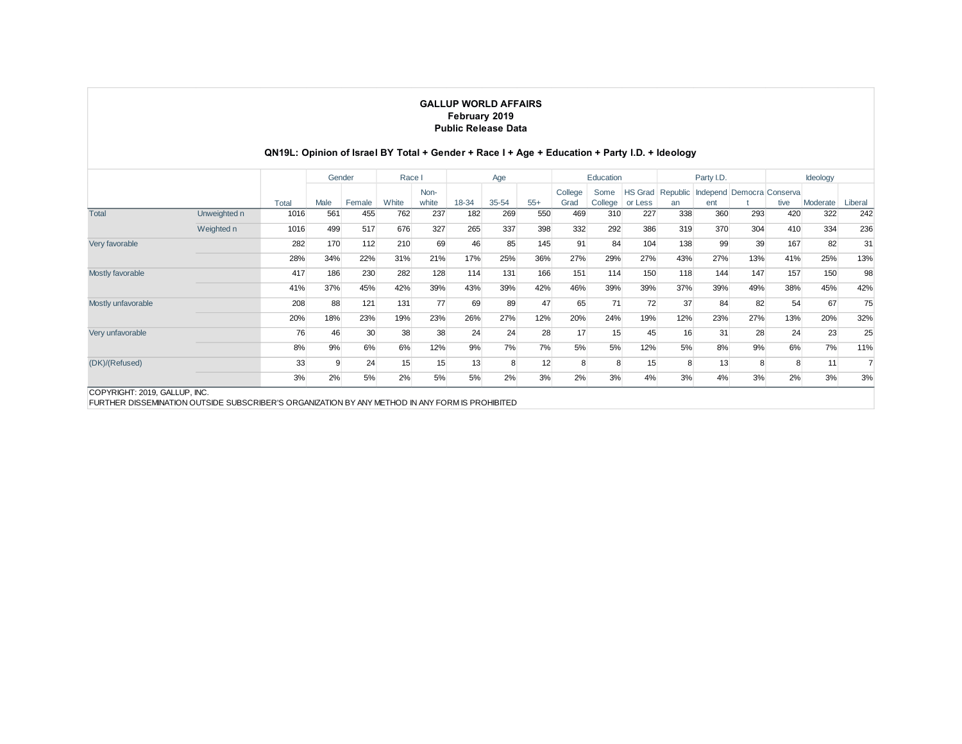# **QN19L: Opinion of Israel BY Total + Gender + Race I + Age + Education + Party I.D. + Ideology**

|                                                                                                                                  |              |       | Gender       |        | Race I |               |       | Age   |       |                 | Education       |                           |                | Party I.D.                       |     |      | Ideology |         |
|----------------------------------------------------------------------------------------------------------------------------------|--------------|-------|--------------|--------|--------|---------------|-------|-------|-------|-----------------|-----------------|---------------------------|----------------|----------------------------------|-----|------|----------|---------|
|                                                                                                                                  |              | Total | Male         | Female | White  | Non-<br>white | 18-34 | 35-54 | $55+$ | College<br>Grad | Some<br>College | <b>HS Grad</b><br>or Less | Republic<br>an | Independ Democra Conserva<br>ent |     | tive | Moderate | Liberal |
| <b>Total</b>                                                                                                                     | Unweighted n | 1016  | 561          | 455    | 762    | 237           | 182   | 269   | 550   | 469             | 310             | 227                       | 338            | 360                              | 293 | 420  | 322      | 242     |
|                                                                                                                                  | Weighted n   | 1016  | 499          | 517    | 676    | 327           | 265   | 337   | 398   | 332             | 292             | 386                       | 319            | 370                              | 304 | 410  | 334      | 236     |
| Very favorable                                                                                                                   |              | 282   | 170          | 112    | 210    | 69            | 46    | 85    | 145   | 91              | 84              | 104                       | 138            | 99                               | 39  | 167  | 82       | 31      |
|                                                                                                                                  |              | 28%   | 34%          | 22%    | 31%    | 21%           | 17%   | 25%   | 36%   | 27%             | 29%             | 27%                       | 43%            | 27%                              | 13% | 41%  | 25%      | 13%     |
| Mostly favorable                                                                                                                 |              | 417   | 186          | 230    | 282    | 128           | 114   | 131   | 166   | 151             | 114             | 150                       | 118            | 144                              | 147 | 157  | 150      | 98      |
|                                                                                                                                  |              | 41%   | 37%          | 45%    | 42%    | 39%           | 43%   | 39%   | 42%   | 46%             | 39%             | 39%                       | 37%            | 39%                              | 49% | 38%  | 45%      | 42%     |
| Mostly unfavorable                                                                                                               |              | 208   | 88           | 121    | 131    | 77            | 69    | 89    | 47    | 65              | 71              | 72                        | 37             | 84                               | 82  | 54   | 67       | 75      |
|                                                                                                                                  |              | 20%   | 18%          | 23%    | 19%    | 23%           | 26%   | 27%   | 12%   | 20%             | 24%             | 19%                       | 12%            | 23%                              | 27% | 13%  | 20%      | 32%     |
| Very unfavorable                                                                                                                 |              | 76    | 46           | 30     | 38     | 38            | 24    | 24    | 28    | 17              | 15              | 45                        | 16             | 31                               | 28  | 24   | 23       | 25      |
|                                                                                                                                  |              | 8%    | 9%           | 6%     | 6%     | 12%           | 9%    | 7%    | 7%    | 5%              | 5%              | 12%                       | 5%             | 8%                               | 9%  | 6%   | 7%       | 11%     |
| (DK)/(Refused)                                                                                                                   |              | 33    | <sub>9</sub> | 24     | 15     | 15            | 13    | 8     | 12    |                 | 8               | 15                        | 8              | 13                               | 8   | 8    | 11       |         |
|                                                                                                                                  |              | 3%    | 2%           | 5%     | 2%     | 5%            | 5%    | 2%    | 3%    | 2%              | 3%              | 4%                        | 3%             | 4%                               | 3%  | 2%   | 3%       | 3%      |
| COPYRIGHT: 2019, GALLUP, INC.<br>FURTHER DISSEMINATION OUTSIDE SUBSCRIBER'S ORGANIZATION BY ANY METHOD IN ANY FORM IS PROHIBITED |              |       |              |        |        |               |       |       |       |                 |                 |                           |                |                                  |     |      |          |         |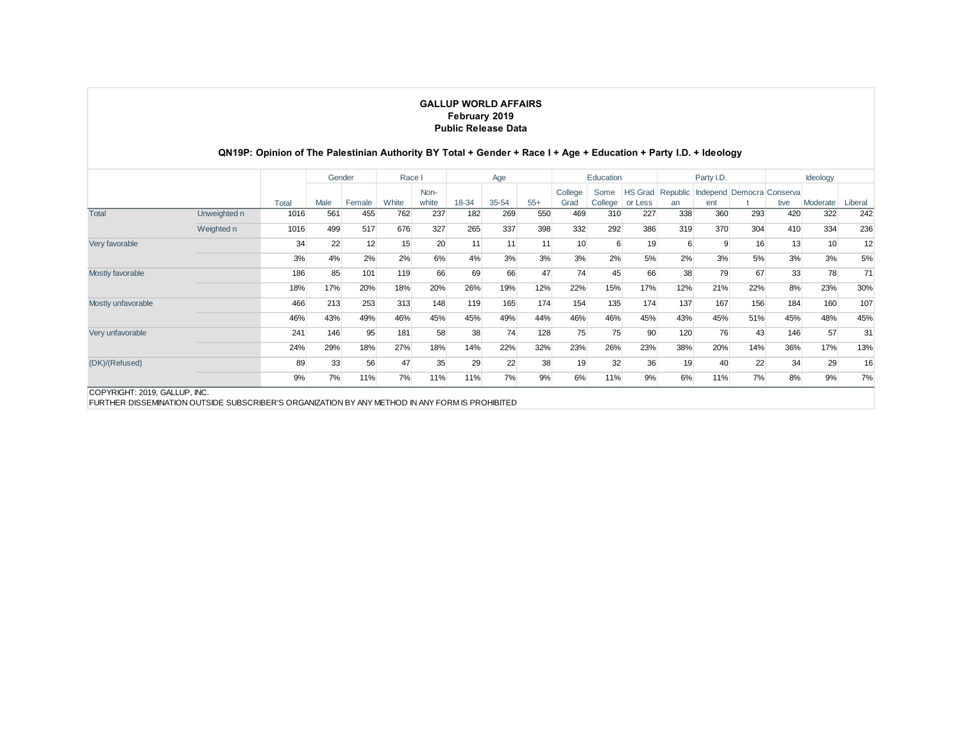## **QN19P: Opinion of The Palestinian Authority BY Total + Gender + Race I + Age + Education + Party I.D. + Ideology**

|                                                                                                                                  |              |       | Gender |        | Race I |               |       | Age       |       |                 | Education       |                           |                | Party I.D. |                           |      | Ideology |         |
|----------------------------------------------------------------------------------------------------------------------------------|--------------|-------|--------|--------|--------|---------------|-------|-----------|-------|-----------------|-----------------|---------------------------|----------------|------------|---------------------------|------|----------|---------|
|                                                                                                                                  |              | Total | Male   | Female | White  | Non-<br>white | 18-34 | $35 - 54$ | $55+$ | College<br>Grad | Some<br>College | <b>HS Grad</b><br>or Less | Republic<br>an | ent        | Independ Democra Conserva | tive | Moderate | Liberal |
| <b>Total</b>                                                                                                                     | Unweighted n | 1016  | 561    | 455    | 762    | 237           | 182   | 269       | 550   | 469             | 310             | 227                       | 338            | 360        | 293                       | 420  | 322      | 242     |
|                                                                                                                                  | Weighted n   | 1016  | 499    | 517    | 676    | 327           | 265   | 337       | 398   | 332             | 292             | 386                       | 319            | 370        | 304                       | 410  | 334      | 236     |
| Very favorable                                                                                                                   |              | 34    | 22     | 12     | 15     | 20            | 11    | 11        | 11    | 10              | 6               | 19                        | 6              | 9          | 16                        | 13   | 10       | 12      |
|                                                                                                                                  |              | 3%    | 4%     | 2%     | 2%     | 6%            | 4%    | 3%        | 3%    | 3%              | 2%              | 5%                        | 2%             | 3%         | 5%                        | 3%   | 3%       | 5%      |
| Mostly favorable                                                                                                                 |              | 186   | 85     | 101    | 119    | 66            | 69    | 66        | 47    | 74              | 45              | 66                        | 38             | 79         | 67                        | 33   | 78       | 71      |
|                                                                                                                                  |              | 18%   | 17%    | 20%    | 18%    | 20%           | 26%   | 19%       | 12%   | 22%             | 15%             | 17%                       | 12%            | 21%        | 22%                       | 8%   | 23%      | 30%     |
| Mostly unfavorable                                                                                                               |              | 466   | 213    | 253    | 313    | 148           | 119   | 165       | 174   | 154             | 135             | 174                       | 137            | 167        | 156                       | 184  | 160      | 107     |
|                                                                                                                                  |              | 46%   | 43%    | 49%    | 46%    | 45%           | 45%   | 49%       | 44%   | 46%             | 46%             | 45%                       | 43%            | 45%        | 51%                       | 45%  | 48%      | 45%     |
| Very unfavorable                                                                                                                 |              | 241   | 146    | 95     | 181    | 58            | 38    | 74        | 128   | 75              | 75              | 90                        | 120            | 76         | 43                        | 146  | 57       | 31      |
|                                                                                                                                  |              | 24%   | 29%    | 18%    | 27%    | 18%           | 14%   | 22%       | 32%   | 23%             | 26%             | 23%                       | 38%            | 20%        | 14%                       | 36%  | 17%      | 13%     |
| (DK)/(Refused)                                                                                                                   |              | 89    | 33     | 56     | 47     | 35            | 29    | 22        | 38    | 19              | 32              | 36                        | 19             | 40         | 22                        | 34   | 29       | 16      |
|                                                                                                                                  |              | 9%    | 7%     | 11%    | 7%     | 11%           | 11%   | 7%        | 9%    | 6%              | 11%             | 9%                        | 6%             | 11%        | 7%                        | 8%   | 9%       | 7%      |
| COPYRIGHT: 2019, GALLUP, INC.<br>FURTHER DISSEMINATION OUTSIDE SUBSCRIBER'S ORGANIZATION BY ANY METHOD IN ANY FORM IS PROHIBITED |              |       |        |        |        |               |       |           |       |                 |                 |                           |                |            |                           |      |          |         |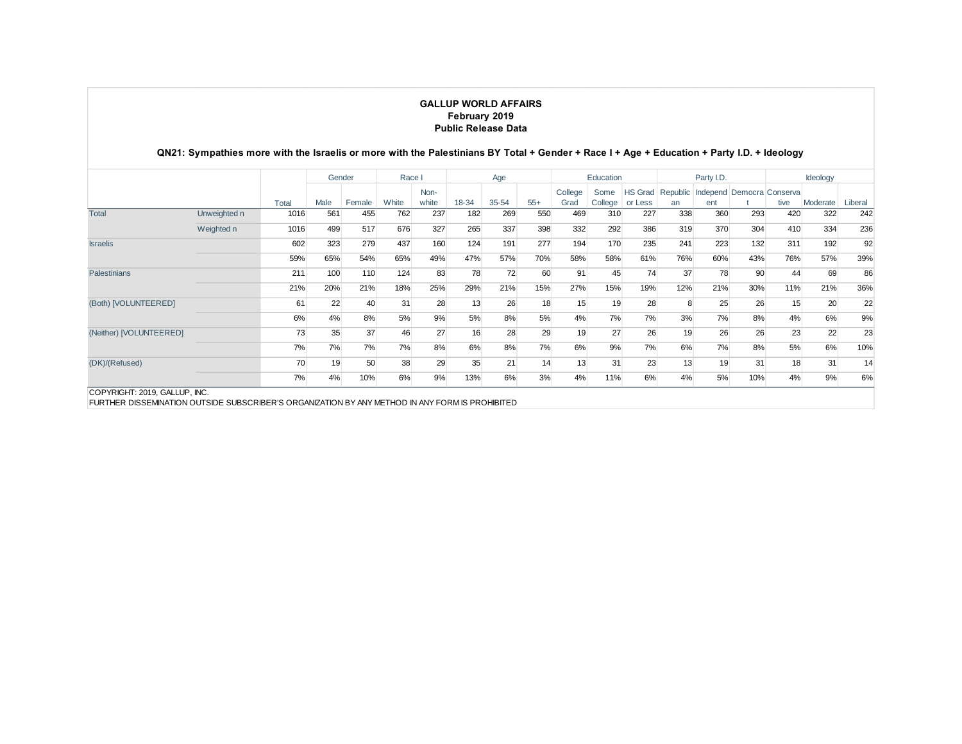|                         |              |       | Gender |        | Race I |               |       | Age   |       |                 | Education |                   |     | Party I.D. |                                             |      | Ideology |         |
|-------------------------|--------------|-------|--------|--------|--------|---------------|-------|-------|-------|-----------------|-----------|-------------------|-----|------------|---------------------------------------------|------|----------|---------|
|                         |              | Total | Male   | Female | White  | Non-<br>white | 18-34 | 35-54 | $55+$ | College<br>Grad | Some      | College   or Less | an  | ent        | HS Grad Republic Independ Democra Conserval | tive | Moderate | Liberal |
| <b>Total</b>            | Unweighted n | 1016  | 561    | 455    | 762    | 237           | 182   | 269   | 550   | 469             | 310       | 227               | 338 | 360        | 293                                         | 420  | 322      | 242     |
|                         | Weighted n   | 1016  | 499    | 517    | 676    | 327           | 265   | 337   | 398   | 332             | 292       | 386               | 319 | 370        | 304                                         | 410  | 334      | 236     |
| <b>Israelis</b>         |              | 602   | 323    | 279    | 437    | 160           | 124   | 191   | 277   | 194             | 170       | 235               | 241 | 223        | 132                                         | 311  | 192      | 92      |
|                         |              | 59%   | 65%    | 54%    | 65%    | 49%           | 47%   | 57%   | 70%   | 58%             | 58%       | 61%               | 76% | 60%        | 43%                                         | 76%  | 57%      | 39%     |
| <b>Palestinians</b>     |              | 211   | 100    | 110    | 124    | 83            | 78    | 72    | 60    | 91              | 45        | 74                | 37  | 78         | 90                                          | 44   | 69       | 86      |
|                         |              | 21%   | 20%    | 21%    | 18%    | 25%           | 29%   | 21%   | 15%   | 27%             | 15%       | 19%               | 12% | 21%        | 30%                                         | 11%  | 21%      | 36%     |
| (Both) [VOLUNTEERED]    |              | 61    | 22     | 40     | 31     | 28            | 13    | 26    | 18    | 15              | 19        | 28                | 8   | 25         | 26                                          | 15   | 20       | 22      |
|                         |              | 6%    | 4%     | 8%     | 5%     | 9%            | 5%    | 8%    | 5%    | 4%              | 7%        | 7%                | 3%  | 7%         | 8%                                          | 4%   | 6%       | 9%      |
| (Neither) [VOLUNTEERED] |              | 73    | 35     | 37     | 46     | 27            | 16    | 28    | 29    | 19              | 27        | 26                | 19  | 26         | 26                                          | 23   | 22       | 23      |
|                         |              | 7%    | 7%     | 7%     | 7%     | 8%            | 6%    | 8%    | 7%    | 6%              | 9%        | 7%                | 6%  | 7%         | 8%                                          | 5%   | 6%       | 10%     |
| (DK)/(Refused)          |              | 70    | 19     | 50     | 38     | 29            | 35    | 21    | 14    | 13              | 31        | 23                | 13  | 19         | 31                                          | 18   | 31       | 14      |
|                         |              | 7%    | 4%     | 10%    | 6%     | 9%            | 13%   | 6%    | 3%    | 4%              | 11%       | 6%                | 4%  | 5%         | 10%                                         | 4%   | 9%       | 6%      |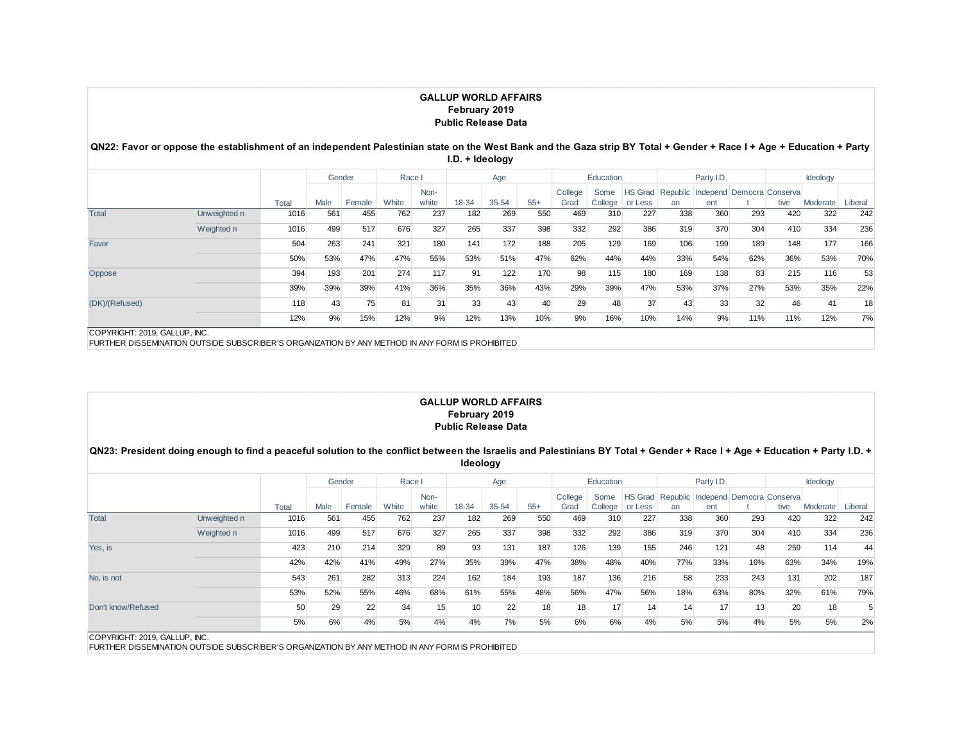#### **QN22: Favor or oppose the establishment of an independent Palestinian state on the West Bank and the Gaza strip BY Total + Gender + Race I + Age + Education + Party I.D. + Ideology**

|                |              |       | Gender |        | Race I |       |       | Age       |       |         | Education |                   |     | Party I.D.                                 |     |      | Ideology |         |
|----------------|--------------|-------|--------|--------|--------|-------|-------|-----------|-------|---------|-----------|-------------------|-----|--------------------------------------------|-----|------|----------|---------|
|                |              |       |        |        |        | Non-  |       |           |       | College | Some      |                   |     | HS Grad Republic Independ Democra Conserva |     |      |          |         |
|                |              | Total | Male   | Female | White  | white | 18-34 | $35 - 54$ | $55+$ | Grad    |           | College   or Less | an  | ent                                        |     | tive | Moderate | Liberal |
| <b>Total</b>   | Unweighted n | 1016  | 561    | 455    | 762    | 237   | 182   | 269       | 550   | 469     | 310       | 227               | 338 | 360                                        | 293 | 420  | 322      | 242     |
|                | Weighted n   | 1016  | 499    | 517    | 676    | 327   | 265   | 337       | 398   | 332     | 292       | 386               | 319 | 370                                        | 304 | 410  | 334      | 236     |
| Favor          |              | 504   | 263    | 241    | 321    | 180   | 141   | 172       | 188   | 205     | 129       | 169               | 106 | 199                                        | 189 | 148  | 177      | 166     |
|                |              | 50%   | 53%    | 47%    | 47%    | 55%   | 53%   | 51%       | 47%   | 62%     | 44%       | 44%               | 33% | 54%                                        | 62% | 36%  | 53%      | 70%     |
| Oppose         |              | 394   | 193    | 201    | 274    | 117   | 91    | 122       | 170   | 98      | 115       | 180               | 169 | 138                                        | 83  | 215  | 116      | 53      |
|                |              | 39%   | 39%    | 39%    | 41%    | 36%   | 35%   | 36%       | 43%   | 29%     | 39%       | 47%               | 53% | 37%                                        | 27% | 53%  | 35%      | 22%     |
| (DK)/(Refused) |              | 118   | 43     | 75     | 81     | 31    | 33    | 43        | 40    | 29      | 48        | 37                | 43  | 33                                         | 32  | 46   | 41       | 18      |
|                |              | 12%   | 9%     | 15%    | 12%    | 9%    | 12%   | 13%       | 10%   | 9%      | 16%       | 10%               | 14% | 9%                                         | 11% | 11%  | 12%      | 7%      |

COPYRIGHT: 2019, GALLUP, INC.

FURTHER DISSEMINATION OUTSIDE SUBSCRIBER'S ORGANIZATION BY ANY METHOD IN ANY FORM IS PROHIBITED

#### **GALLUP WORLD AFFAIRS February 2019 Public Release Data**

#### **QN23: President doing enough to find a peaceful solution to the conflict between the Israelis and Palestinians BY Total + Gender + Race I + Age + Education + Party I.D. + Ideology**

|                    |              |       | Gender |        | Race I |       |       | Age       |       |         | Education |                   |     | Party I.D. |     |                                    | Ideology |         |
|--------------------|--------------|-------|--------|--------|--------|-------|-------|-----------|-------|---------|-----------|-------------------|-----|------------|-----|------------------------------------|----------|---------|
|                    |              |       |        |        |        | Non-  |       |           |       | College | Some      | <b>HS Grad</b>    |     |            |     | Republic Independ Democra Conserva |          |         |
|                    |              | Total | Male   | Female | White  | white | 18-34 | $35 - 54$ | $55+$ | Grad    |           | College   or Less | an  | ent        |     | tive                               | Moderate | Liberal |
| <b>Total</b>       | Unweighted n | 1016  | 561    | 455    | 762    | 237   | 182   | 269       | 550   | 469     | 310       | 227               | 338 | 360        | 293 | 420                                | 322      | 242     |
|                    | Weighted n   | 1016  | 499    | 517    | 676    | 327   | 265   | 337       | 398   | 332     | 292       | 386               | 319 | 370        | 304 | 410                                | 334      | 236     |
| Yes, is            |              | 423   | 210    | 214    | 329    | 89    | 93    | 131       | 187   | 126     | 139       | 155               | 246 | 121        | 48  | 259                                | 114      | 44      |
|                    |              | 42%   | 42%    | 41%    | 49%    | 27%   | 35%   | 39%       | 47%   | 38%     | 48%       | 40%               | 77% | 33%        | 16% | 63%                                | 34%      | 19%     |
| No. is not         |              | 543   | 261    | 282    | 313    | 224   | 162   | 184       | 193   | 187     | 136       | 216               | 58  | 233        | 243 | 131                                | 202      | 187     |
|                    |              | 53%   | 52%    | 55%    | 46%    | 68%   | 61%   | 55%       | 48%   | 56%     | 47%       | 56%               | 18% | 63%        | 80% | 32%                                | 61%      | 79%     |
| Don't know/Refused |              | 50    | 29     | 22     | 34     | 15    | 10    | 22        | 18    | 18      | 17        | 14                | 14  | 17         | 13  | 20                                 | 18       | 5       |
|                    |              | 5%    | 6%     | 4%     | 5%     | 4%    | 4%    | 7%        | 5%    | 6%      | 6%        | 4%                | 5%  | 5%         | 4%  | 5%                                 | 5%       | 2%      |